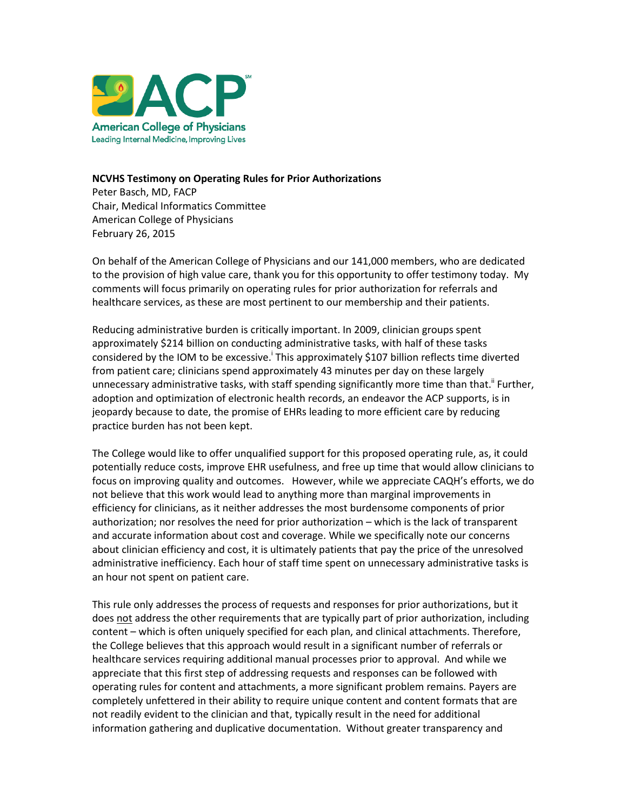

## **NCVHS Testimony on Operating Rules for Prior Authorizations**

Peter Basch, MD, FACP Chair, Medical Informatics Committee American College of Physicians February 26, 2015

On behalf of the American College of Physicians and our 141,000 members, who are dedicated to the provision of high value care, thank you for this opportunity to offer testimony today. My comments will focus primarily on operating rules for prior authorization for referrals and healthcare services, as these are most pertinent to our membership and their patients.

Reducing administrative burden is critically important. In 2009, clinician groups spent approximately \$214 billion on conducting administrative tasks, with half of these tasks considered by the IOM to be excessive. This approximately \$107 billion reflects time diverted from patient care; clinicians spend approximately 43 minutes per day on these largely unnecessary administrative tasks, with staff spending significantly more time than that.<sup>"</sup> Further, adoption and optimization of electronic health records, an endeavor the ACP supports, is in jeopardy because to date, the promise of EHRs leading to more efficient care by reducing practice burden has not been kept.

The College would like to offer unqualified support for this proposed operating rule, as, it could potentially reduce costs, improve EHR usefulness, and free up time that would allow clinicians to focus on improving quality and outcomes. However, while we appreciate CAQH's efforts, we do not believe that this work would lead to anything more than marginal improvements in efficiency for clinicians, as it neither addresses the most burdensome components of prior authorization; nor resolves the need for prior authorization – which is the lack of transparent and accurate information about cost and coverage. While we specifically note our concerns about clinician efficiency and cost, it is ultimately patients that pay the price of the unresolved administrative inefficiency. Each hour of staff time spent on unnecessary administrative tasks is an hour not spent on patient care.

This rule only addresses the process of requests and responses for prior authorizations, but it does not address the other requirements that are typically part of prior authorization, including content – which is often uniquely specified for each plan, and clinical attachments. Therefore, the College believes that this approach would result in a significant number of referrals or healthcare services requiring additional manual processes prior to approval. And while we appreciate that this first step of addressing requests and responses can be followed with operating rules for content and attachments, a more significant problem remains. Payers are completely unfettered in their ability to require unique content and content formats that are not readily evident to the clinician and that, typically result in the need for additional information gathering and duplicative documentation. Without greater transparency and